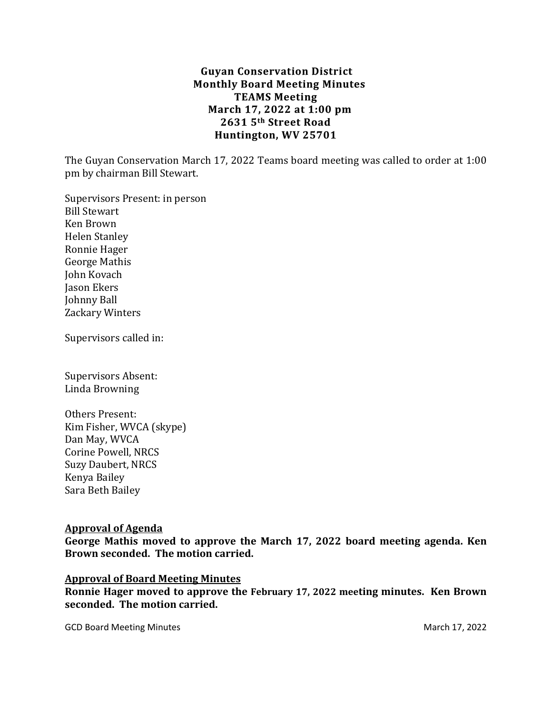## **Guyan Conservation District Monthly Board Meeting Minutes TEAMS Meeting March 17, 2022 at 1:00 pm 2631 5th Street Road Huntington, WV 25701**

The Guyan Conservation March 17, 2022 Teams board meeting was called to order at 1:00 pm by chairman Bill Stewart.

Supervisors Present: in person Bill Stewart Ken Brown Helen Stanley Ronnie Hager George Mathis John Kovach Jason Ekers Johnny Ball Zackary Winters

Supervisors called in:

Supervisors Absent: Linda Browning

Others Present: Kim Fisher, WVCA (skype) Dan May, WVCA Corine Powell, NRCS Suzy Daubert, NRCS Kenya Bailey Sara Beth Bailey

### **Approval of Agenda**

**George Mathis moved to approve the March 17, 2022 board meeting agenda. Ken Brown seconded. The motion carried.**

### **Approval of Board Meeting Minutes**

**Ronnie Hager moved to approve the February 17, 2022 meeting minutes. Ken Brown seconded. The motion carried.**

GCD Board Meeting Minutes **March 17, 2022**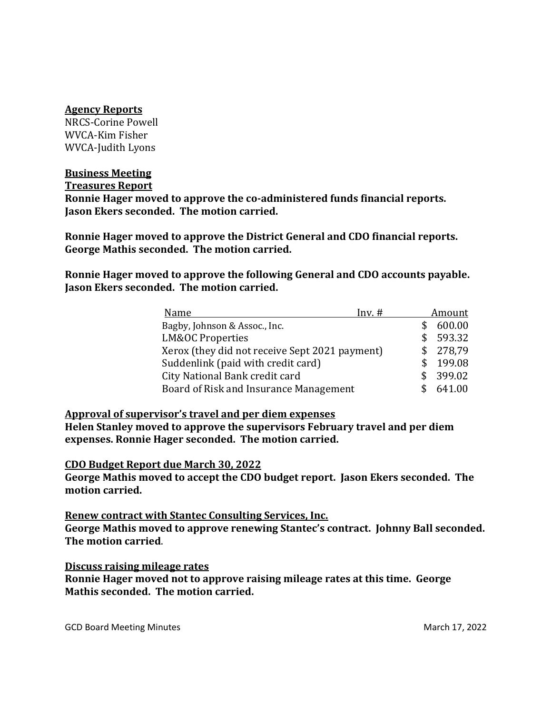#### **Agency Reports**

NRCS-Corine Powell WVCA-Kim Fisher WVCA-Judith Lyons

### **Business Meeting**

**Treasures Report**

**Ronnie Hager moved to approve the co-administered funds financial reports. Jason Ekers seconded. The motion carried.**

**Ronnie Hager moved to approve the District General and CDO financial reports. George Mathis seconded. The motion carried.** 

**Ronnie Hager moved to approve the following General and CDO accounts payable. Jason Ekers seconded. The motion carried.**

| Name<br>$Inv.$ #                                      | <u>Amount</u> |
|-------------------------------------------------------|---------------|
| Bagby, Johnson & Assoc., Inc.                         | 600.00        |
| <b>LM&amp;OC Properties</b><br>S.                     | 593.32        |
| Xerox (they did not receive Sept 2021 payment)<br>\$. | 278,79        |
| Suddenlink (paid with credit card)<br>S.              | 199.08        |
| City National Bank credit card<br>\$.                 | 399.02        |
| Board of Risk and Insurance Management                | 641.00        |

### **Approval of supervisor's travel and per diem expenses**

**Helen Stanley moved to approve the supervisors February travel and per diem expenses. Ronnie Hager seconded. The motion carried.**

### **CDO Budget Report due March 30, 2022**

**George Mathis moved to accept the CDO budget report. Jason Ekers seconded. The motion carried.**

**Renew contract with Stantec Consulting Services, Inc. George Mathis moved to approve renewing Stantec's contract. Johnny Ball seconded. The motion carried**.

### **Discuss raising mileage rates**

**Ronnie Hager moved not to approve raising mileage rates at this time. George Mathis seconded. The motion carried.**

GCD Board Meeting Minutes **March 17, 2022**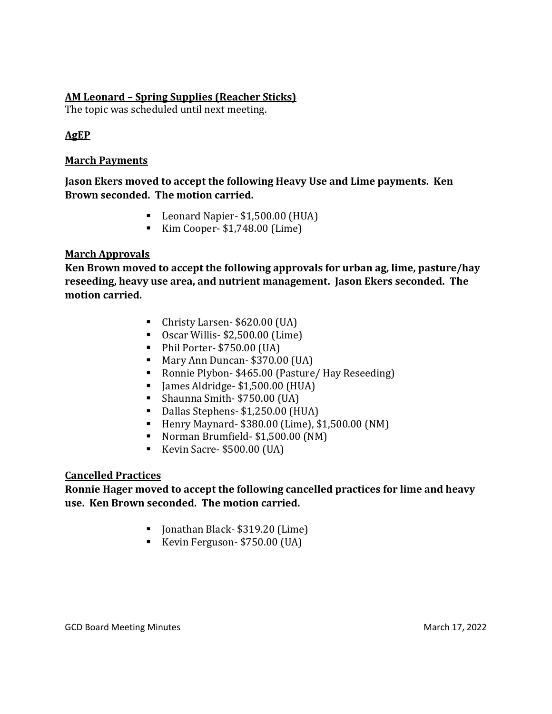## **AM Leonard – Spring Supplies (Reacher Sticks)**

The topic was scheduled until next meeting.

## **AgEP**

### **March Payments**

**Jason Ekers moved to accept the following Heavy Use and Lime payments. Ken Brown seconded. The motion carried.**

- Leonard Napier- \$1,500.00 (HUA)
- Kim Cooper- \$1,748.00 (Lime)

## **March Approvals**

**Ken Brown moved to accept the following approvals for urban ag, lime, pasture/hay reseeding, heavy use area, and nutrient management. Jason Ekers seconded. The motion carried.**

- Christy Larsen- \$620.00 (UA)
- Oscar Willis- \$2,500.00 (Lime)
- Phil Porter- \$750.00 (UA)
- Mary Ann Duncan- \$370.00 (UA)
- Ronnie Plybon- \$465.00 (Pasture/ Hay Reseeding)
- James Aldridge- \$1,500.00 (HUA)
- Shaunna Smith- \$750.00 (UA)
- Dallas Stephens- \$1,250.00 (HUA)
- Henry Maynard- \$380.00 (Lime), \$1,500.00 (NM)
- Norman Brumfield- \$1,500.00 (NM)
- Kevin Sacre- \$500.00 (UA)

## **Cancelled Practices**

## **Ronnie Hager moved to accept the following cancelled practices for lime and heavy use. Ken Brown seconded. The motion carried.**

- Jonathan Black- \$319.20 (Lime)
- Kevin Ferguson- \$750.00 (UA)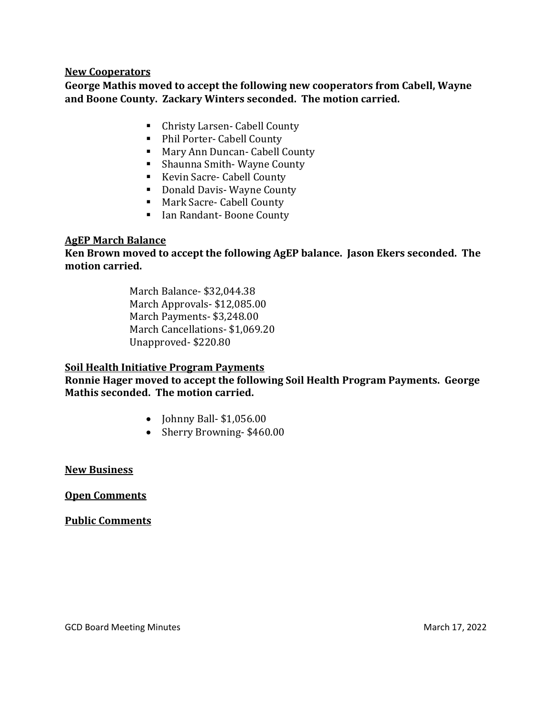### **New Cooperators**

**George Mathis moved to accept the following new cooperators from Cabell, Wayne and Boone County. Zackary Winters seconded. The motion carried.**

- Christy Larsen- Cabell County
- Phil Porter- Cabell County
- Mary Ann Duncan- Cabell County
- Shaunna Smith-Wayne County
- Kevin Sacre- Cabell County
- Donald Davis- Wayne County
- Mark Sacre- Cabell County
- Ian Randant-Boone County

## **AgEP March Balance**

**Ken Brown moved to accept the following AgEP balance. Jason Ekers seconded. The motion carried.**

> March Balance- \$32,044.38 March Approvals- \$12,085.00 March Payments- \$3,248.00 March Cancellations- \$1,069.20 Unapproved- \$220.80

## **Soil Health Initiative Program Payments**

**Ronnie Hager moved to accept the following Soil Health Program Payments. George Mathis seconded. The motion carried.**

- **Johnny Ball- \$1,056.00**
- Sherry Browning-\$460.00

**New Business**

**Open Comments**

**Public Comments**